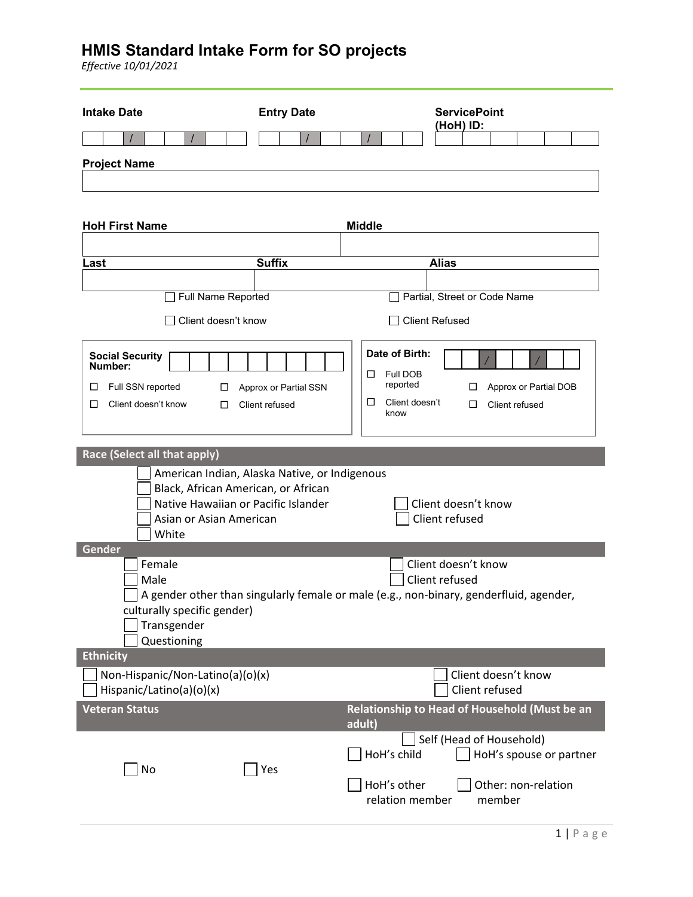| <b>Intake Date</b>                                                         | <b>Entry Date</b>                             | <b>ServicePoint</b>                                                                    |
|----------------------------------------------------------------------------|-----------------------------------------------|----------------------------------------------------------------------------------------|
|                                                                            |                                               | (HoH) ID:                                                                              |
| <b>Project Name</b>                                                        |                                               |                                                                                        |
|                                                                            |                                               |                                                                                        |
|                                                                            |                                               |                                                                                        |
| <b>HoH First Name</b>                                                      |                                               | <b>Middle</b>                                                                          |
|                                                                            |                                               |                                                                                        |
| Last                                                                       | <b>Suffix</b>                                 | <b>Alias</b>                                                                           |
|                                                                            |                                               |                                                                                        |
| Full Name Reported                                                         |                                               | Partial, Street or Code Name                                                           |
| Client doesn't know                                                        |                                               | <b>Client Refused</b>                                                                  |
| <b>Social Security</b>                                                     |                                               | Date of Birth:                                                                         |
| Number:                                                                    |                                               | Full DOB<br>□<br>reported                                                              |
| Full SSN reported<br>$\Box$<br>□<br>Client doesn't know<br>□<br>$\Box$     | Approx or Partial SSN<br>Client refused       | Approx or Partial DOB<br>ப<br>Client doesn't<br>□<br>□<br>Client refused               |
|                                                                            |                                               | know                                                                                   |
|                                                                            |                                               |                                                                                        |
| Race (Select all that apply)                                               |                                               |                                                                                        |
|                                                                            | American Indian, Alaska Native, or Indigenous |                                                                                        |
| Black, African American, or African<br>Native Hawaiian or Pacific Islander |                                               | Client doesn't know                                                                    |
| Asian or Asian American                                                    |                                               | Client refused                                                                         |
| White                                                                      |                                               |                                                                                        |
| Gender<br>Female                                                           |                                               | Client doesn't know                                                                    |
| Male                                                                       |                                               | Client refused                                                                         |
|                                                                            |                                               | A gender other than singularly female or male (e.g., non-binary, genderfluid, agender, |
| culturally specific gender)<br>Transgender                                 |                                               |                                                                                        |
| Questioning                                                                |                                               |                                                                                        |
| <b>Ethnicity</b>                                                           |                                               |                                                                                        |
| Non-Hispanic/Non-Latino(a)(o)(x)                                           |                                               | Client doesn't know                                                                    |
| Hispanic/Latino(a)(o)(x)                                                   |                                               | Client refused                                                                         |
| <b>Veteran Status</b>                                                      |                                               | Relationship to Head of Household (Must be an<br>adult)                                |
|                                                                            |                                               | Self (Head of Household)                                                               |
| No                                                                         | Yes                                           | HoH's child<br>HoH's spouse or partner                                                 |
|                                                                            |                                               | HoH's other<br>Other: non-relation                                                     |
|                                                                            |                                               | relation member<br>member                                                              |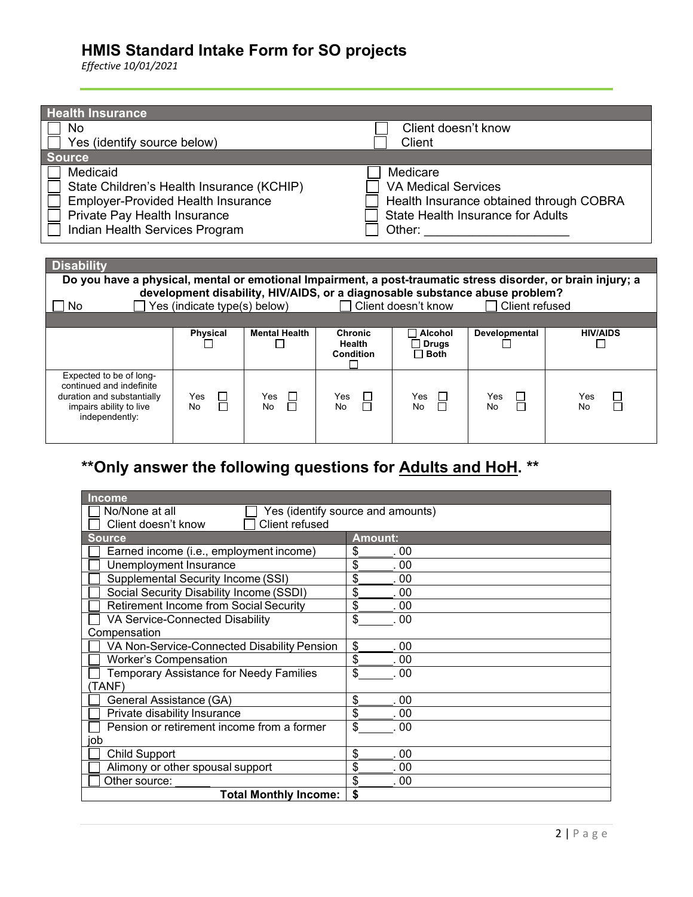*Effective 10/01/2021*

duration and substantially impairs ability to live independently:

| <b>Health Insurance</b>                                                                                      |                                                                                                                                                      |                      |                  |                            |                                   |                                         |
|--------------------------------------------------------------------------------------------------------------|------------------------------------------------------------------------------------------------------------------------------------------------------|----------------------|------------------|----------------------------|-----------------------------------|-----------------------------------------|
| No                                                                                                           |                                                                                                                                                      |                      |                  | Client doesn't know        |                                   |                                         |
| Yes (identify source below)                                                                                  |                                                                                                                                                      |                      |                  | Client                     |                                   |                                         |
| <b>Source</b>                                                                                                |                                                                                                                                                      |                      |                  |                            |                                   |                                         |
| Medicaid                                                                                                     |                                                                                                                                                      |                      |                  | Medicare                   |                                   |                                         |
| State Children's Health Insurance (KCHIP)                                                                    |                                                                                                                                                      |                      |                  | <b>VA Medical Services</b> |                                   |                                         |
| <b>Employer-Provided Health Insurance</b>                                                                    |                                                                                                                                                      |                      |                  |                            |                                   | Health Insurance obtained through COBRA |
| Private Pay Health Insurance                                                                                 |                                                                                                                                                      |                      |                  |                            | State Health Insurance for Adults |                                         |
| Indian Health Services Program                                                                               |                                                                                                                                                      |                      |                  |                            | Other: ______________________     |                                         |
|                                                                                                              |                                                                                                                                                      |                      |                  |                            |                                   |                                         |
|                                                                                                              |                                                                                                                                                      |                      |                  |                            |                                   |                                         |
| <b>Disability</b>                                                                                            |                                                                                                                                                      |                      |                  |                            |                                   |                                         |
| Do you have a physical, mental or emotional Impairment, a post-traumatic stress disorder, or brain injury; a |                                                                                                                                                      |                      |                  |                            |                                   |                                         |
| No.                                                                                                          | development disability, HIV/AIDS, or a diagnosable substance abuse problem?<br>Client doesn't know<br>Yes (indicate type(s) below)<br>Client refused |                      |                  |                            |                                   |                                         |
|                                                                                                              |                                                                                                                                                      |                      |                  |                            |                                   |                                         |
|                                                                                                              | <b>Physical</b>                                                                                                                                      | <b>Mental Health</b> | <b>Chronic</b>   | <b>Alcohol</b>             | Developmental                     | <b>HIV/AIDS</b>                         |
|                                                                                                              |                                                                                                                                                      | <b>College</b>       | Health           | $\Box$ Drugs               |                                   |                                         |
|                                                                                                              |                                                                                                                                                      |                      | <b>Condition</b> | $\sqsupset$ Both           |                                   |                                         |
| Expected to be of long-                                                                                      |                                                                                                                                                      |                      |                  |                            |                                   |                                         |
| continued and indefinite                                                                                     |                                                                                                                                                      |                      |                  |                            |                                   |                                         |
| duration and substantially                                                                                   | Yes<br>Н                                                                                                                                             | Yes                  | Yes              | Yes                        | Yes                               | Yes                                     |
| impairs ability to live                                                                                      | No                                                                                                                                                   | No                   | No               | No                         | No                                | No                                      |

# **\*\*Only answer the following questions for Adults and HoH. \*\***

| <b>Income</b>                                 |                                   |  |
|-----------------------------------------------|-----------------------------------|--|
| No/None at all                                | Yes (identify source and amounts) |  |
| Client refused<br>Client doesn't know         |                                   |  |
| <b>Source</b>                                 | <b>Amount:</b>                    |  |
| Earned income (i.e., employment income)       | \$<br>. 00                        |  |
| Unemployment Insurance                        | \$<br>. 00                        |  |
| Supplemental Security Income (SSI)            | \$<br>. 00                        |  |
| Social Security Disability Income (SSDI)      | \$<br>. 00                        |  |
| <b>Retirement Income from Social Security</b> | \$<br>. 00                        |  |
| VA Service-Connected Disability               | \$<br>.00                         |  |
| Compensation                                  |                                   |  |
| VA Non-Service-Connected Disability Pension   | \$<br>. 00                        |  |
| <b>Worker's Compensation</b>                  | \$<br>. 00                        |  |
| Temporary Assistance for Needy Families       | \$<br>. 00                        |  |
| (TANF)                                        |                                   |  |
| General Assistance (GA)                       | \$<br>00                          |  |
| Private disability Insurance                  | \$<br>00                          |  |
| Pension or retirement income from a former    | \$<br>. 00                        |  |
| job                                           |                                   |  |
| <b>Child Support</b>                          | \$<br>. 00                        |  |
| Alimony or other spousal support              | \$<br>. 00                        |  |
| Other source:                                 | \$<br>. 00                        |  |
| <b>Total Monthly Income:</b>                  | \$                                |  |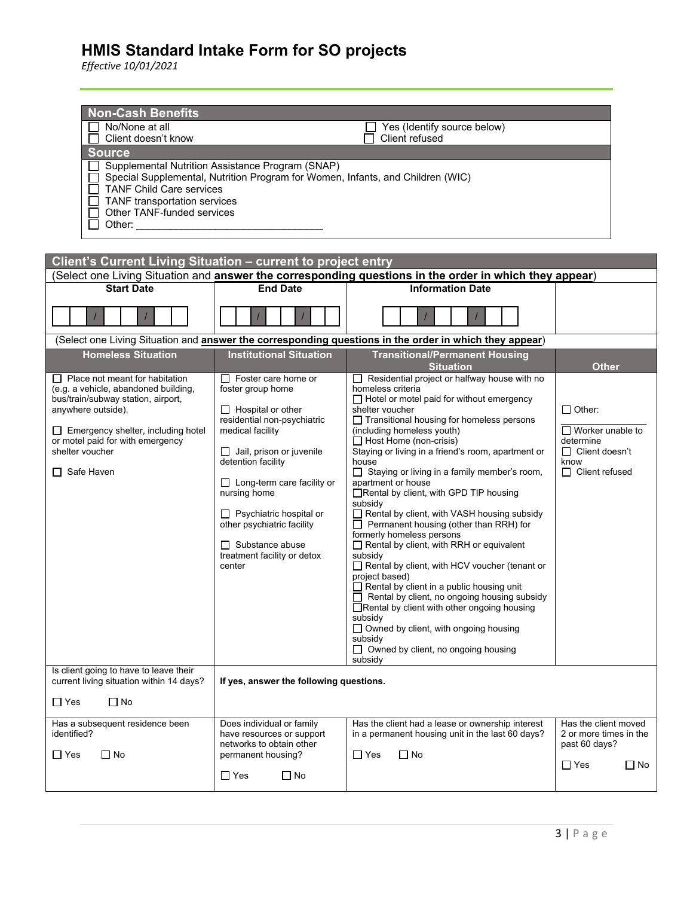| <b>Non-Cash Benefits</b><br>No/None at all<br>Yes (Identify source below)<br>Client doesn't know<br>Client refused<br><b>Source</b><br>Supplemental Nutrition Assistance Program (SNAP)<br>Special Supplemental, Nutrition Program for Women, Infants, and Children (WIC)<br><b>TANF Child Care services</b><br>TANF transportation services<br>Other TANF-funded services<br>Other: the contract of the contract of the contract of the contract of the contract of the contract of the contract of the contract of the contract of the contract of the contract of the contract of the contract of the con |                                                                                                                                                                                                                                                                                                                                                                                 |                                                                                                                                                                                                                                                                                                                                                                                                                                                                                                                                                                                                                                                                                                                                                                                                                                                                                                                                                                                                     |                                                                                                                 |  |
|--------------------------------------------------------------------------------------------------------------------------------------------------------------------------------------------------------------------------------------------------------------------------------------------------------------------------------------------------------------------------------------------------------------------------------------------------------------------------------------------------------------------------------------------------------------------------------------------------------------|---------------------------------------------------------------------------------------------------------------------------------------------------------------------------------------------------------------------------------------------------------------------------------------------------------------------------------------------------------------------------------|-----------------------------------------------------------------------------------------------------------------------------------------------------------------------------------------------------------------------------------------------------------------------------------------------------------------------------------------------------------------------------------------------------------------------------------------------------------------------------------------------------------------------------------------------------------------------------------------------------------------------------------------------------------------------------------------------------------------------------------------------------------------------------------------------------------------------------------------------------------------------------------------------------------------------------------------------------------------------------------------------------|-----------------------------------------------------------------------------------------------------------------|--|
| Client's Current Living Situation - current to project entry<br><b>Start Date</b>                                                                                                                                                                                                                                                                                                                                                                                                                                                                                                                            | <b>End Date</b>                                                                                                                                                                                                                                                                                                                                                                 | (Select one Living Situation and <b>answer the corresponding questions in the order in which they appear</b> )<br><b>Information Date</b>                                                                                                                                                                                                                                                                                                                                                                                                                                                                                                                                                                                                                                                                                                                                                                                                                                                           |                                                                                                                 |  |
|                                                                                                                                                                                                                                                                                                                                                                                                                                                                                                                                                                                                              |                                                                                                                                                                                                                                                                                                                                                                                 | (Select one Living Situation and answer the corresponding questions in the order in which they appear)                                                                                                                                                                                                                                                                                                                                                                                                                                                                                                                                                                                                                                                                                                                                                                                                                                                                                              |                                                                                                                 |  |
| <b>Homeless Situation</b>                                                                                                                                                                                                                                                                                                                                                                                                                                                                                                                                                                                    | <b>Institutional Situation</b>                                                                                                                                                                                                                                                                                                                                                  | <b>Transitional/Permanent Housing</b><br><b>Situation</b>                                                                                                                                                                                                                                                                                                                                                                                                                                                                                                                                                                                                                                                                                                                                                                                                                                                                                                                                           | <b>Other</b>                                                                                                    |  |
| Place not meant for habitation<br>(e.g. a vehicle, abandoned building,<br>bus/train/subway station, airport,<br>anywhere outside).<br>$\Box$ Emergency shelter, including hotel<br>or motel paid for with emergency<br>shelter voucher<br>$\Box$ Safe Haven                                                                                                                                                                                                                                                                                                                                                  | $\Box$ Foster care home or<br>foster group home<br>$\Box$ Hospital or other<br>residential non-psychiatric<br>medical facility<br>$\Box$ Jail, prison or juvenile<br>detention facility<br>$\Box$ Long-term care facility or<br>nursing home<br>$\Box$ Psychiatric hospital or<br>other psychiatric facility<br>$\Box$ Substance abuse<br>treatment facility or detox<br>center | $\Box$ Residential project or halfway house with no<br>homeless criteria<br>$\Box$ Hotel or motel paid for without emergency<br>shelter voucher<br>□ Transitional housing for homeless persons<br>(including homeless youth)<br>$\Box$ Host Home (non-crisis)<br>Staying or living in a friend's room, apartment or<br>house<br>□ Staying or living in a family member's room,<br>apartment or house<br>Rental by client, with GPD TIP housing<br>subsidy<br>Rental by client, with VASH housing subsidy<br>$\Box$ Permanent housing (other than RRH) for<br>formerly homeless persons<br>Rental by client, with RRH or equivalent<br>subsidy<br>Rental by client, with HCV voucher (tenant or<br>project based)<br>Rental by client in a public housing unit<br>$\Box$ Rental by client, no ongoing housing subsidy<br>□Rental by client with other ongoing housing<br>subsidy<br>$\Box$ Owned by client, with ongoing housing<br>subsidy<br>$\Box$ Owned by client, no ongoing housing<br>subsidy | $\Box$ Other:<br>$\Box$ Worker unable to<br>determine<br>$\Box$ Client doesn't<br>know<br>$\Box$ Client refused |  |
| Is client going to have to leave their<br>current living situation within 14 days?                                                                                                                                                                                                                                                                                                                                                                                                                                                                                                                           | If yes, answer the following questions.                                                                                                                                                                                                                                                                                                                                         |                                                                                                                                                                                                                                                                                                                                                                                                                                                                                                                                                                                                                                                                                                                                                                                                                                                                                                                                                                                                     |                                                                                                                 |  |
| $\Box$ Yes<br>$\Box$ No                                                                                                                                                                                                                                                                                                                                                                                                                                                                                                                                                                                      |                                                                                                                                                                                                                                                                                                                                                                                 |                                                                                                                                                                                                                                                                                                                                                                                                                                                                                                                                                                                                                                                                                                                                                                                                                                                                                                                                                                                                     |                                                                                                                 |  |
| Has a subsequent residence been<br>identified?<br>$\Box$ No<br>$\Box$ Yes                                                                                                                                                                                                                                                                                                                                                                                                                                                                                                                                    | Does individual or family<br>have resources or support<br>networks to obtain other<br>permanent housing?<br>$\Box$ Yes<br>$\Box$ No                                                                                                                                                                                                                                             | Has the client had a lease or ownership interest<br>in a permanent housing unit in the last 60 days?<br>$\Box$ Yes<br>$\Box$ No                                                                                                                                                                                                                                                                                                                                                                                                                                                                                                                                                                                                                                                                                                                                                                                                                                                                     | Has the client moved<br>2 or more times in the<br>past 60 days?<br>$\Box$ Yes<br>$\square$ No                   |  |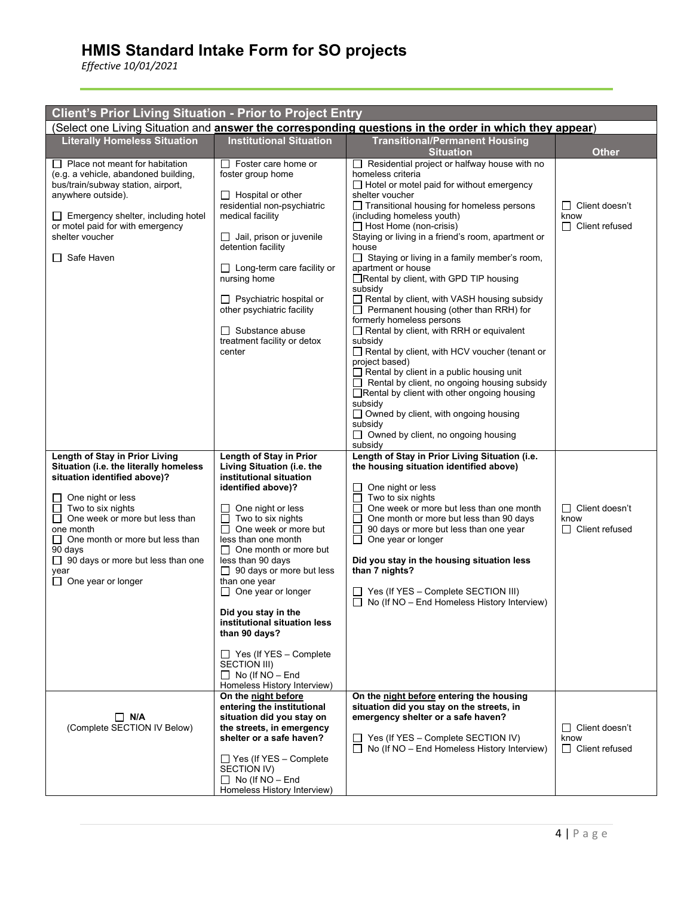| <b>Client's Prior Living Situation - Prior to Project Entry</b>                                                                                                                                                                                                                                                                                              |                                                                                                                                                                                                                                                                                                                                                                                                                                                                                                                                              |                                                                                                                                                                                                                                                                                                                                                                                                                                                                                                                                                                                                                                                                                                                                                                                                                                                                                                                                                                                                                              |                                                           |  |
|--------------------------------------------------------------------------------------------------------------------------------------------------------------------------------------------------------------------------------------------------------------------------------------------------------------------------------------------------------------|----------------------------------------------------------------------------------------------------------------------------------------------------------------------------------------------------------------------------------------------------------------------------------------------------------------------------------------------------------------------------------------------------------------------------------------------------------------------------------------------------------------------------------------------|------------------------------------------------------------------------------------------------------------------------------------------------------------------------------------------------------------------------------------------------------------------------------------------------------------------------------------------------------------------------------------------------------------------------------------------------------------------------------------------------------------------------------------------------------------------------------------------------------------------------------------------------------------------------------------------------------------------------------------------------------------------------------------------------------------------------------------------------------------------------------------------------------------------------------------------------------------------------------------------------------------------------------|-----------------------------------------------------------|--|
| (Select one Living Situation and answer the corresponding questions in the order in which they appear)                                                                                                                                                                                                                                                       |                                                                                                                                                                                                                                                                                                                                                                                                                                                                                                                                              |                                                                                                                                                                                                                                                                                                                                                                                                                                                                                                                                                                                                                                                                                                                                                                                                                                                                                                                                                                                                                              |                                                           |  |
| <b>Literally Homeless Situation</b>                                                                                                                                                                                                                                                                                                                          | <b>Institutional Situation</b>                                                                                                                                                                                                                                                                                                                                                                                                                                                                                                               | <b>Transitional/Permanent Housing</b><br><b>Situation</b>                                                                                                                                                                                                                                                                                                                                                                                                                                                                                                                                                                                                                                                                                                                                                                                                                                                                                                                                                                    | <b>Other</b>                                              |  |
| $\Box$ Place not meant for habitation<br>(e.g. a vehicle, abandoned building,<br>bus/train/subway station, airport,<br>anywhere outside).<br>$\Box$ Emergency shelter, including hotel<br>or motel paid for with emergency<br>shelter voucher<br>$\Box$ Safe Haven                                                                                           | □ Foster care home or<br>foster group home<br>$\Box$ Hospital or other<br>residential non-psychiatric<br>medical facility<br>$\Box$ Jail, prison or juvenile<br>detention facility<br>$\Box$ Long-term care facility or<br>nursing home<br>$\Box$ Psychiatric hospital or<br>other psychiatric facility<br>$\Box$ Substance abuse<br>treatment facility or detox<br>center                                                                                                                                                                   | $\Box$ Residential project or halfway house with no<br>homeless criteria<br>$\Box$ Hotel or motel paid for without emergency<br>shelter voucher<br>$\Box$ Transitional housing for homeless persons<br>(including homeless youth)<br>$\Box$ Host Home (non-crisis)<br>Staying or living in a friend's room, apartment or<br>house<br>$\Box$ Staying or living in a family member's room,<br>apartment or house<br>Rental by client, with GPD TIP housing<br>subsidy<br>Rental by client, with VASH housing subsidy<br>$\Box$ Permanent housing (other than RRH) for<br>formerly homeless persons<br>$\Box$ Rental by client, with RRH or equivalent<br>subsidy<br>Rental by client, with HCV voucher (tenant or<br>project based)<br>$\Box$ Rental by client in a public housing unit<br>$\Box$ Rental by client, no ongoing housing subsidy<br>□ Rental by client with other ongoing housing<br>subsidy<br>$\Box$ Owned by client, with ongoing housing<br>subsidy<br>$\Box$ Owned by client, no ongoing housing<br>subsidy | $\Box$ Client doesn't<br>know<br>$\Box$ Client refused    |  |
| Length of Stay in Prior Living<br>Situation (i.e. the literally homeless<br>situation identified above)?<br>$\Box$ One night or less<br>$\Box$ Two to six nights<br>$\Box$ One week or more but less than<br>one month<br>$\Box$ One month or more but less than<br>90 days<br>$\Box$ 90 days or more but less than one<br>year<br>$\Box$ One year or longer | Length of Stay in Prior<br>Living Situation (i.e. the<br>institutional situation<br>identified above)?<br>One night or less<br>$\perp$<br>Two to six nights<br>П<br>One week or more but<br>П<br>less than one month<br>$\Box$ One month or more but<br>less than 90 days<br>$\Box$ 90 days or more but less<br>than one year<br>$\Box$ One year or longer<br>Did you stay in the<br>institutional situation less<br>than 90 days?<br>$\Box$ Yes (If YES - Complete<br>SECTION III)<br>$\Box$ No (If NO - End<br>Homeless History Interview) | Length of Stay in Prior Living Situation (i.e.<br>the housing situation identified above)<br>One night or less<br>ப<br>$\Box$ Two to six nights<br>п<br>One week or more but less than one month<br>One month or more but less than 90 days<br>90 days or more but less than one year<br>$\perp$<br>$\Box$ One year or longer<br>Did you stay in the housing situation less<br>than 7 nights?<br>$\Box$ Yes (If YES - Complete SECTION III)<br>$\Box$ No (If NO – End Homeless History Interview)                                                                                                                                                                                                                                                                                                                                                                                                                                                                                                                            | $\Box$<br>Client doesn't<br>know<br>$\Box$ Client refused |  |
| $\Box$ N/A<br>(Complete SECTION IV Below)                                                                                                                                                                                                                                                                                                                    | On the night before<br>entering the institutional<br>situation did you stay on<br>the streets, in emergency<br>shelter or a safe haven?<br>□ Yes (If YES - Complete<br>SECTION IV)<br>$\Box$ No (If NO - End<br>Homeless History Interview)                                                                                                                                                                                                                                                                                                  | On the night before entering the housing<br>situation did you stay on the streets, in<br>emergency shelter or a safe haven?<br>$\Box$ Yes (If YES – Complete SECTION IV)<br>$\Box$ No (If NO – End Homeless History Interview)                                                                                                                                                                                                                                                                                                                                                                                                                                                                                                                                                                                                                                                                                                                                                                                               | $\Box$ Client doesn't<br>know<br>$\Box$ Client refused    |  |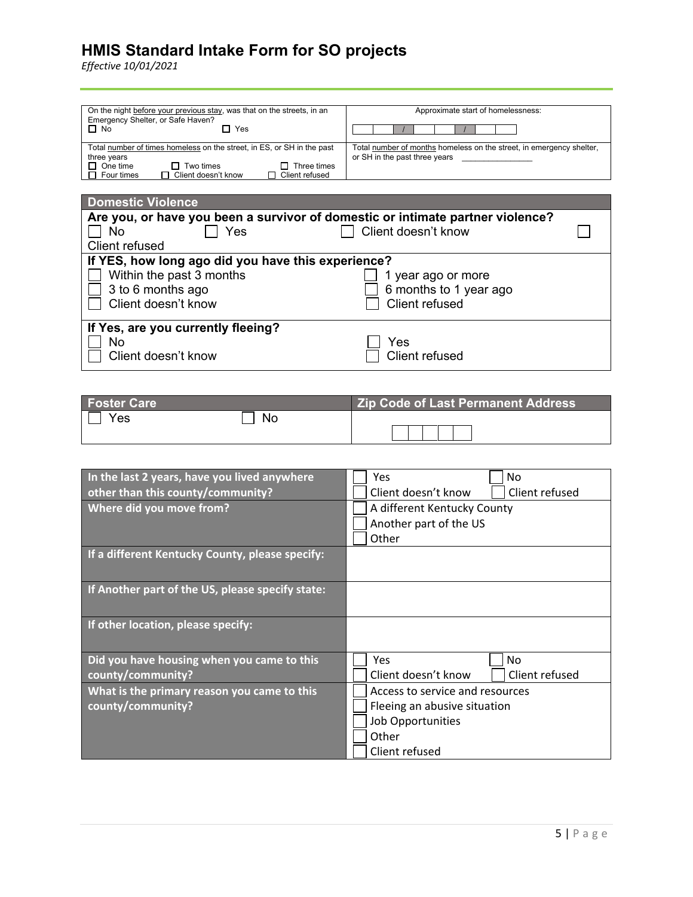| On the night before your previous stay, was that on the streets, in an<br>Emergency Shelter, or Safe Haven?<br>$\Box$ No<br>$\sqcap\,$ Yes                                                             | Approximate start of homelessness:                                                                    |  |
|--------------------------------------------------------------------------------------------------------------------------------------------------------------------------------------------------------|-------------------------------------------------------------------------------------------------------|--|
| Total number of times homeless on the street, in ES, or SH in the past<br>three years<br>$\Box$ One time<br>Two times<br>Three times<br>l I<br>□ Client doesn't know<br>Client refused<br>1 Four times | Total number of months homeless on the street, in emergency shelter,<br>or SH in the past three years |  |

| <b>Domestic Violence</b>                                                       |                        |  |
|--------------------------------------------------------------------------------|------------------------|--|
| Are you, or have you been a survivor of domestic or intimate partner violence? |                        |  |
| Yes<br>No                                                                      | Client doesn't know    |  |
| Client refused                                                                 |                        |  |
| If YES, how long ago did you have this experience?                             |                        |  |
| Within the past 3 months                                                       | 1 year ago or more     |  |
| 3 to 6 months ago                                                              | 6 months to 1 year ago |  |
| Client doesn't know                                                            | Client refused         |  |
|                                                                                |                        |  |
| If Yes, are you currently fleeing?                                             |                        |  |
| <b>No</b>                                                                      | Yes                    |  |
| Client doesn't know                                                            | <b>Client refused</b>  |  |
|                                                                                |                        |  |

| <b>Foster Care</b> |     | <b>Zip Code of Last Permanent Address</b> |
|--------------------|-----|-------------------------------------------|
| Yes                | No. |                                           |

| In the last 2 years, have you lived anywhere     | No<br>Yes                             |  |
|--------------------------------------------------|---------------------------------------|--|
| other than this county/community?                | Client refused<br>Client doesn't know |  |
| Where did you move from?                         | A different Kentucky County           |  |
|                                                  | Another part of the US                |  |
|                                                  | Other                                 |  |
| If a different Kentucky County, please specify:  |                                       |  |
|                                                  |                                       |  |
| If Another part of the US, please specify state: |                                       |  |
|                                                  |                                       |  |
| If other location, please specify:               |                                       |  |
|                                                  |                                       |  |
| Did you have housing when you came to this       | <b>Yes</b><br>No.                     |  |
| county/community?                                | Client doesn't know<br>Client refused |  |
| What is the primary reason you came to this      | Access to service and resources       |  |
| county/community?                                | Fleeing an abusive situation          |  |
|                                                  | Job Opportunities                     |  |
|                                                  | Other                                 |  |
|                                                  | Client refused                        |  |